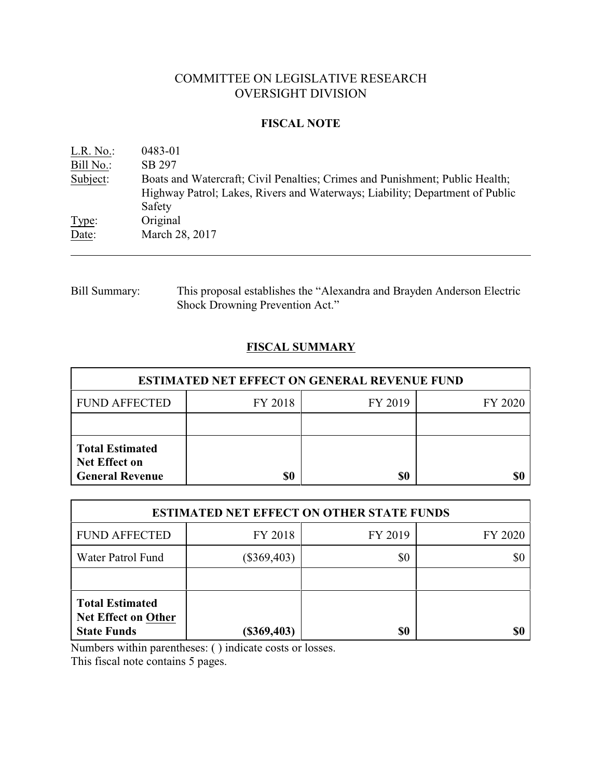# COMMITTEE ON LEGISLATIVE RESEARCH OVERSIGHT DIVISION

### **FISCAL NOTE**

| L.R. No.  | 0483-01                                                                                                                                                                |
|-----------|------------------------------------------------------------------------------------------------------------------------------------------------------------------------|
| Bill No.: | SB 297                                                                                                                                                                 |
| Subject:  | Boats and Watercraft; Civil Penalties; Crimes and Punishment; Public Health;<br>Highway Patrol; Lakes, Rivers and Waterways; Liability; Department of Public<br>Safety |
| Type:     | Original                                                                                                                                                               |
| Date:     | March 28, 2017                                                                                                                                                         |

Bill Summary: This proposal establishes the "Alexandra and Brayden Anderson Electric Shock Drowning Prevention Act."

# **FISCAL SUMMARY**

| <b>ESTIMATED NET EFFECT ON GENERAL REVENUE FUND</b>                      |         |         |         |  |
|--------------------------------------------------------------------------|---------|---------|---------|--|
| <b>FUND AFFECTED</b>                                                     | FY 2018 | FY 2019 | FY 2020 |  |
|                                                                          |         |         |         |  |
| <b>Total Estimated</b><br><b>Net Effect on</b><br><b>General Revenue</b> | \$0     | \$0     |         |  |

| <b>ESTIMATED NET EFFECT ON OTHER STATE FUNDS</b>                           |               |         |         |  |
|----------------------------------------------------------------------------|---------------|---------|---------|--|
| <b>FUND AFFECTED</b>                                                       | FY 2018       | FY 2019 | FY 2020 |  |
| Water Patrol Fund                                                          | $(\$369,403)$ | \$0     | \$0     |  |
|                                                                            |               |         |         |  |
| <b>Total Estimated</b><br><b>Net Effect on Other</b><br><b>State Funds</b> | $(\$369,403)$ | \$0     | \$0     |  |

Numbers within parentheses: ( ) indicate costs or losses.

This fiscal note contains 5 pages.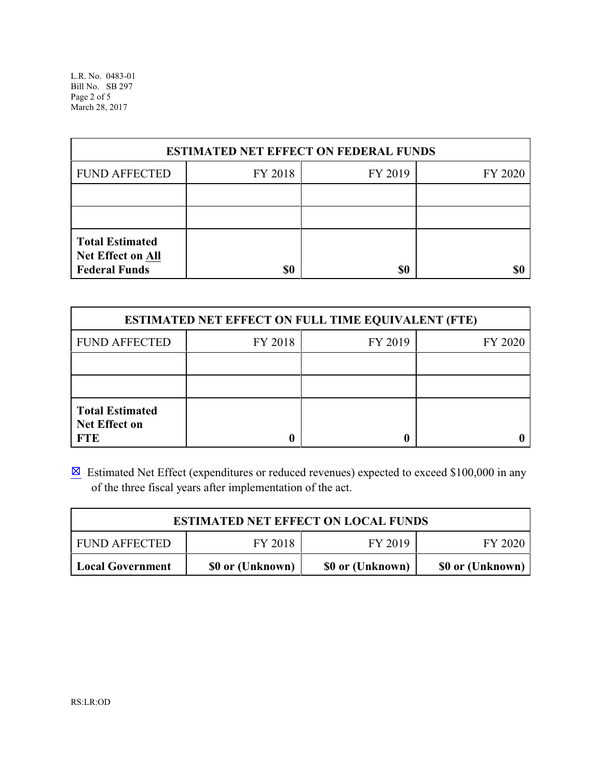L.R. No. 0483-01 Bill No. SB 297 Page 2 of 5 March 28, 2017

| <b>ESTIMATED NET EFFECT ON FEDERAL FUNDS</b>                        |         |         |         |  |
|---------------------------------------------------------------------|---------|---------|---------|--|
| <b>FUND AFFECTED</b>                                                | FY 2018 | FY 2019 | FY 2020 |  |
|                                                                     |         |         |         |  |
|                                                                     |         |         |         |  |
| <b>Total Estimated</b><br>Net Effect on All<br><b>Federal Funds</b> | \$0     | \$0     | \$0     |  |

| <b>ESTIMATED NET EFFECT ON FULL TIME EQUIVALENT (FTE)</b>    |         |         |         |  |
|--------------------------------------------------------------|---------|---------|---------|--|
| <b>FUND AFFECTED</b>                                         | FY 2018 | FY 2019 | FY 2020 |  |
|                                                              |         |         |         |  |
|                                                              |         |         |         |  |
| <b>Total Estimated</b><br><b>Net Effect on</b><br><b>FTE</b> |         |         |         |  |

 $\boxtimes$  Estimated Net Effect (expenditures or reduced revenues) expected to exceed \$100,000 in any of the three fiscal years after implementation of the act.

| <b>ESTIMATED NET EFFECT ON LOCAL FUNDS</b> |                  |                  |                  |
|--------------------------------------------|------------------|------------------|------------------|
| <b>FUND AFFECTED</b>                       | FY 2018          | FY 2019          | FY 2020          |
| <b>Local Government</b>                    | \$0 or (Unknown) | \$0 or (Unknown) | \$0 or (Unknown) |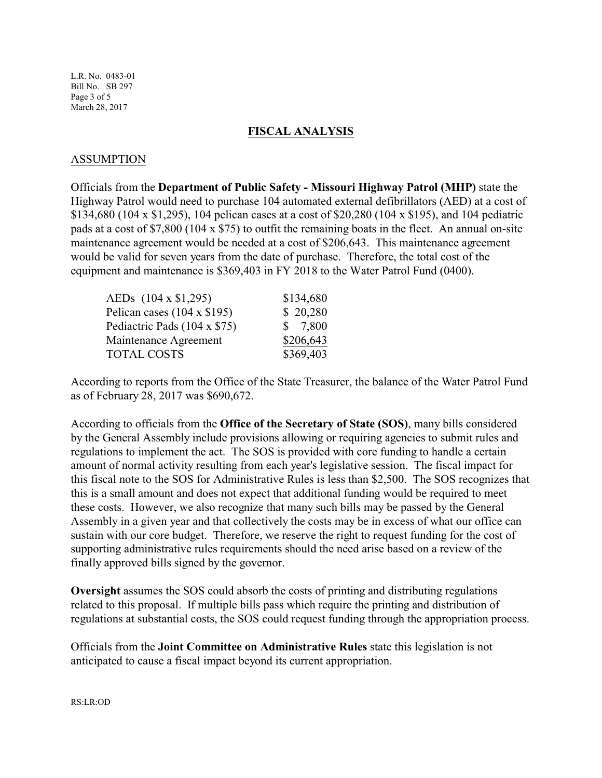L.R. No. 0483-01 Bill No. SB 297 Page 3 of 5 March 28, 2017

#### **FISCAL ANALYSIS**

#### ASSUMPTION

Officials from the **Department of Public Safety - Missouri Highway Patrol (MHP)** state the Highway Patrol would need to purchase 104 automated external defibrillators (AED) at a cost of \$134,680 (104 x \$1,295), 104 pelican cases at a cost of \$20,280 (104 x \$195), and 104 pediatric pads at a cost of \$7,800 (104 x \$75) to outfit the remaining boats in the fleet. An annual on-site maintenance agreement would be needed at a cost of \$206,643. This maintenance agreement would be valid for seven years from the date of purchase. Therefore, the total cost of the equipment and maintenance is \$369,403 in FY 2018 to the Water Patrol Fund (0400).

| \$134,680 |
|-----------|
| \$20,280  |
| \$7,800   |
| \$206,643 |
| \$369,403 |
|           |

According to reports from the Office of the State Treasurer, the balance of the Water Patrol Fund as of February 28, 2017 was \$690,672.

According to officials from the **Office of the Secretary of State (SOS)**, many bills considered by the General Assembly include provisions allowing or requiring agencies to submit rules and regulations to implement the act. The SOS is provided with core funding to handle a certain amount of normal activity resulting from each year's legislative session. The fiscal impact for this fiscal note to the SOS for Administrative Rules is less than \$2,500. The SOS recognizes that this is a small amount and does not expect that additional funding would be required to meet these costs. However, we also recognize that many such bills may be passed by the General Assembly in a given year and that collectively the costs may be in excess of what our office can sustain with our core budget. Therefore, we reserve the right to request funding for the cost of supporting administrative rules requirements should the need arise based on a review of the finally approved bills signed by the governor.

**Oversight** assumes the SOS could absorb the costs of printing and distributing regulations related to this proposal. If multiple bills pass which require the printing and distribution of regulations at substantial costs, the SOS could request funding through the appropriation process.

Officials from the **Joint Committee on Administrative Rules** state this legislation is not anticipated to cause a fiscal impact beyond its current appropriation.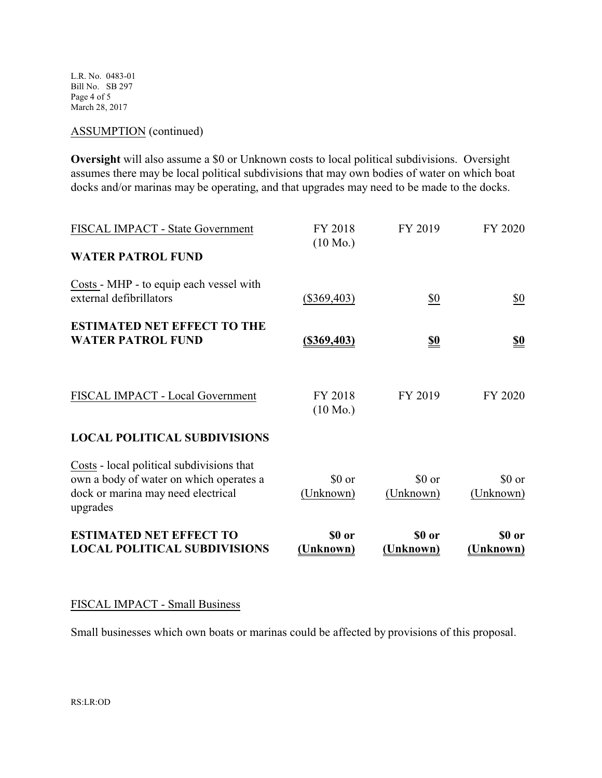L.R. No. 0483-01 Bill No. SB 297 Page 4 of 5 March 28, 2017

## ASSUMPTION (continued)

**Oversight** will also assume a \$0 or Unknown costs to local political subdivisions. Oversight assumes there may be local political subdivisions that may own bodies of water on which boat docks and/or marinas may be operating, and that upgrades may need to be made to the docks.

| <b>ESTIMATED NET EFFECT TO</b><br><b>LOCAL POLITICAL SUBDIVISIONS</b>                                                                  | \$0 or<br>(Unknown)           | \$0 or<br>(Unknown) | \$0 or<br>(Unknown) |
|----------------------------------------------------------------------------------------------------------------------------------------|-------------------------------|---------------------|---------------------|
| Costs - local political subdivisions that<br>own a body of water on which operates a<br>dock or marina may need electrical<br>upgrades | \$0 or<br>(Unknown)           | \$0 or<br>(Unknown) | \$0 or<br>(Unknown) |
| <b>LOCAL POLITICAL SUBDIVISIONS</b>                                                                                                    |                               |                     |                     |
| FISCAL IMPACT - Local Government                                                                                                       | FY 2018<br>$(10 \text{ Mo.})$ | FY 2019             | FY 2020             |
| <b>ESTIMATED NET EFFECT TO THE</b><br><b>WATER PATROL FUND</b>                                                                         | <u>(\$369,403)</u>            | <u>\$0</u>          | <u>\$0</u>          |
| Costs - MHP - to equip each vessel with<br>external defibrillators                                                                     | $(\$369,403)$                 | \$0                 | $\underline{\$0}$   |
| <b>WATER PATROL FUND</b>                                                                                                               |                               |                     |                     |
| FISCAL IMPACT - State Government                                                                                                       | FY 2018<br>$(10 \text{ Mo.})$ | FY 2019             | FY 2020             |

## FISCAL IMPACT - Small Business

Small businesses which own boats or marinas could be affected by provisions of this proposal.